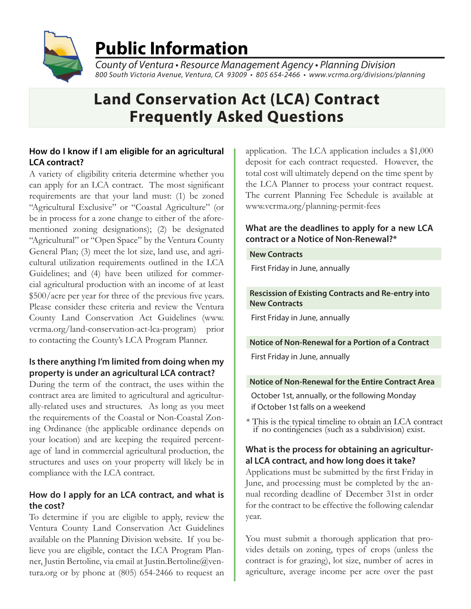

# **Public Information**

*County of Ventura • Resource Management Agency • Planning Division 800 South Victoria Avenue, Ventura, CA 93009 • 805 654-24*66 *• www.vcrma.org/divisions/planning*

## **Land Conservation Act (LCA) Contract Frequently Asked Questions**

### **How do I know if I am eligible for an agricultural LCA contract?**

A variety of eligibility criteria determine whether you can apply for an LCA contract. The most significant requirements are that your land must: (1) be zoned "Agricultural Exclusive" or "Coastal Agriculture" (or be in process for a zone change to either of the aforementioned zoning designations); (2) be designated "Agricultural" or "Open Space" by the Ventura County General Plan; (3) meet the lot size, land use, and agricultural utilization requirements outlined in the LCA Guidelines; and (4) have been utilized for commercial agricultural production with an income of at least \$500/acre per year for three of the previous five years. Please consider these criteria and review the Ventura County Land Conservation Act Guidelines (www. vcrma.org/land-conservation-act-lca-program) prior to contacting the County's LCA Program Planner.

## **Is there anything I'm limited from doing when my property is under an agricultural LCA contract?**

During the term of the contract, the uses within the contract area are limited to agricultural and agriculturally-related uses and structures. As long as you meet the requirements of the Coastal or Non-Coastal Zoning Ordinance (the applicable ordinance depends on your location) and are keeping the required percentage of land in commercial agricultural production, the structures and uses on your property will likely be in compliance with the LCA contract.

## **How do I apply for an LCA contract, and what is the cost?**

To determine if you are eligible to apply, review the Ventura County Land Conservation Act Guidelines available on the Planning Division website. If you believe you are eligible, contact the LCA Program Planner, Justin Bertoline, via email at Justin.Bertoline@ventura.org or by phone at (805) 654-2466 to request an

application. The LCA application includes a \$1,000 deposit for each contract requested. However, the total cost will ultimately depend on the time spent by the LCA Planner to process your contract request. The current Planning Fee Schedule is available at www.vcrma.org/planning-permit-fees

## **What are the deadlines to apply for a new LCA contract or a Notice of Non-Renewal?\***

#### **New Contracts**

First Friday in June, annually

#### **Rescission of Existing Contracts and Re-entry into New Contracts**

First Friday in June, annually

#### **Notice of Non-Renewal for a Portion of a Contract**

First Friday in June, annually

#### **Notice of Non-Renewal for the Entire Contract Area**

October 1st, annually, or the following Monday if October 1st falls on a weekend

\* This is the typical timeline to obtain an LCA contract if no contingencies (such as a subdivision) exist.

## **What is the process for obtaining an agricultural LCA contract, and how long does it take?**

Applications must be submitted by the first Friday in June, and processing must be completed by the annual recording deadline of December 31st in order for the contract to be effective the following calendar year.

You must submit a thorough application that provides details on zoning, types of crops (unless the contract is for grazing), lot size, number of acres in agriculture, average income per acre over the past